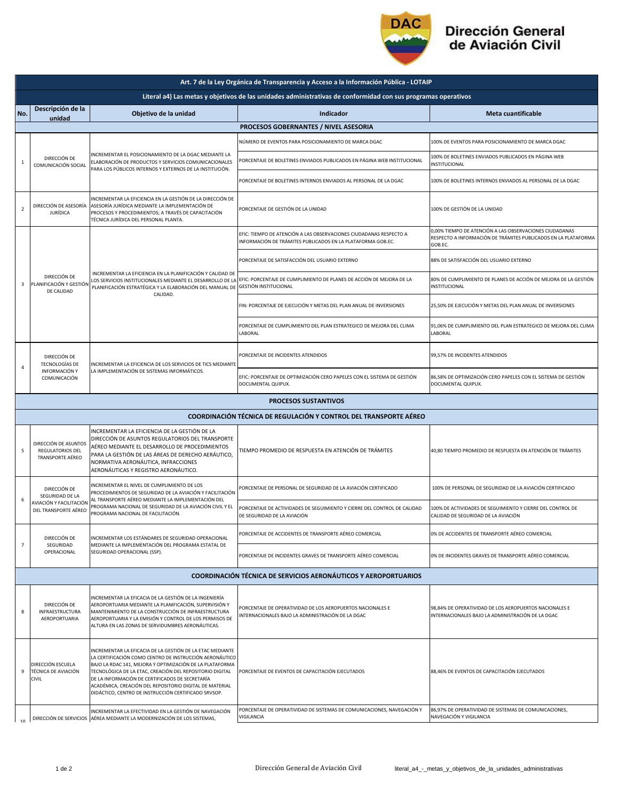

## Dirección General<br>de Aviación Civil

|                                                                                                               | Art. 7 de la Ley Orgánica de Transparencia y Acceso a la Información Pública - LOTAIP |                                                                                                                                                                                                                                                                                                                                                                                                                    |                                                                                                                                                          |                                                                                                                                      |  |  |  |  |
|---------------------------------------------------------------------------------------------------------------|---------------------------------------------------------------------------------------|--------------------------------------------------------------------------------------------------------------------------------------------------------------------------------------------------------------------------------------------------------------------------------------------------------------------------------------------------------------------------------------------------------------------|----------------------------------------------------------------------------------------------------------------------------------------------------------|--------------------------------------------------------------------------------------------------------------------------------------|--|--|--|--|
| Literal a4) Las metas y objetivos de las unidades administrativas de conformidad con sus programas operativos |                                                                                       |                                                                                                                                                                                                                                                                                                                                                                                                                    |                                                                                                                                                          |                                                                                                                                      |  |  |  |  |
| No.                                                                                                           | Descripción de la<br>unidad                                                           | Objetivo de la unidad                                                                                                                                                                                                                                                                                                                                                                                              | Indicador                                                                                                                                                | <b>Meta cuantificable</b>                                                                                                            |  |  |  |  |
|                                                                                                               | PROCESOS GOBERNANTES / NIVEL ASESORIA                                                 |                                                                                                                                                                                                                                                                                                                                                                                                                    |                                                                                                                                                          |                                                                                                                                      |  |  |  |  |
| 1                                                                                                             | DIRECCIÓN DE<br>COMUNICACIÓN SOCIAL                                                   | NCREMENTAR EL POSICIONAMIENTO DE LA DGAC MEDIANTE LA<br>ELABORACIÓN DE PRODUCTOS Y SERVICIOS COMUNICACIONALES<br>PARA LOS PÚBLICOS INTERNOS Y EXTERNOS DE LA INSTITUCIÓN.                                                                                                                                                                                                                                          | NÚMERO DE EVENTOS PARA POSICIONAMIENTO DE MARCA DGAC                                                                                                     | 100% DE EVENTOS PARA POSICIONAMIENTO DE MARCA DGAC                                                                                   |  |  |  |  |
|                                                                                                               |                                                                                       |                                                                                                                                                                                                                                                                                                                                                                                                                    | PORCENTAJE DE BOLETINES ENVIADOS PUBLICADOS EN PÁGINA WEB INSTITUCIONAL                                                                                  | 100% DE BOLETINES ENVIADOS PUBLICADOS EN PÁGINA WEB<br>INSTITUCIONAL                                                                 |  |  |  |  |
|                                                                                                               |                                                                                       |                                                                                                                                                                                                                                                                                                                                                                                                                    | PORCENTAJE DE BOLETINES INTERNOS ENVIADOS AL PERSONAL DE LA DGAC                                                                                         | 100% DE BOLETINES INTERNOS ENVIADOS AL PERSONAL DE LA DGAC                                                                           |  |  |  |  |
| $\overline{2}$                                                                                                | DIRECCIÓN DE ASESORÍA<br><b>JURÍDICA</b>                                              | INCREMENTAR LA EFICIENCIA EN LA GESTIÓN DE LA DIRECCIÓN DE<br>ASESORÍA JURÍDICA MEDIANTE LA IMPLEMENTACIÓN DE<br>PROCESOS Y PROCEDIMIENTOS; A TRAVÉS DE CAPACITACIÓN<br>TÉCNICA JURÍDICA DEL PERSONAL PLANTA.                                                                                                                                                                                                      | PORCENTAJE DE GESTIÓN DE LA UNIDAD                                                                                                                       | 100% DE GESTIÓN DE LA UNIDAD                                                                                                         |  |  |  |  |
|                                                                                                               | DIRECCIÓN DE<br>PLANIFICACIÓN Y GESTIÓN<br>DE CALIDAD                                 | INCREMENTAR LA EFICIENCIA EN LA PLANIFICACIÓN Y CALIDAD DE<br>PLANIFICACIÓN ESTRATÉGICA Y LA ELABORACIÓN DEL MANUAL DE<br>CALIDAD.                                                                                                                                                                                                                                                                                 | EFIC: TIEMPO DE ATENCIÓN A LAS OBSERVACIONES CIUDADANAS RESPECTO A<br>INFORMACIÓN DE TRÁMITES PUBLICADOS EN LA PLATAFORMA GOB.EC.                        | 0,00% TIEMPO DE ATENCIÓN A LAS OBSERVACIONES CIUDADANAS<br>RESPECTO A INFORMACIÓN DE TRÁMITES PUBLICADOS EN LA PLATAFORMA<br>GOB.EC. |  |  |  |  |
|                                                                                                               |                                                                                       |                                                                                                                                                                                                                                                                                                                                                                                                                    | PORCENTAJE DE SATISFACCIÓN DEL USUARIO EXTERNO                                                                                                           | 88% DE SATISFACCIÓN DEL USUARIO EXTERNO                                                                                              |  |  |  |  |
| 3                                                                                                             |                                                                                       |                                                                                                                                                                                                                                                                                                                                                                                                                    | LOS SERVICIOS INSTITUCIONALES MEDIANTE EL DESARROLLO DE LA EFIC: PORCENTAJE DE CUMPLIMIENTO DE PLANES DE ACCIÓN DE MEJORA DE LA<br>GESTIÓN INSTITUCIONAL | 80% DE CUMPLIMIENTO DE PLANES DE ACCIÓN DE MEJORA DE LA GESTIÓN<br>INSTITUCIONAL                                                     |  |  |  |  |
|                                                                                                               |                                                                                       |                                                                                                                                                                                                                                                                                                                                                                                                                    | FIN: PORCENTAJE DE EJECUCIÓN Y METAS DEL PLAN ANUAL DE INVERSIONES                                                                                       | 25,50% DE EJECUCIÓN Y METAS DEL PLAN ANUAL DE INVERSIONES                                                                            |  |  |  |  |
|                                                                                                               |                                                                                       |                                                                                                                                                                                                                                                                                                                                                                                                                    | PORCENTAJE DE CUMPLIMIENTO DEL PLAN ESTRATEGICO DE MEJORA DEL CLIMA<br>LABORAL                                                                           | 91,06% DE CUMPLIMIENTO DEL PLAN ESTRATEGICO DE MEJORA DEL CLIMA<br>LABORAL                                                           |  |  |  |  |
|                                                                                                               | DIRECCIÓN DE<br><b>TECNOLOGÍAS DE</b><br>INFORMACIÓN Y<br>COMUNICACIÓN                | INCREMENTAR LA EFICIENCIA DE LOS SERVICIOS DE TICS MEDIANTE<br>LA IMPLEMENTACIÓN DE SISTEMAS INFORMÁTICOS.                                                                                                                                                                                                                                                                                                         | PORCENTAJE DE INCIDENTES ATENDIDOS                                                                                                                       | 99,57% DE INCIDENTES ATENDIDOS                                                                                                       |  |  |  |  |
| 4                                                                                                             |                                                                                       |                                                                                                                                                                                                                                                                                                                                                                                                                    | EFIC: PORCENTAJE DE OPTIMIZACIÓN CERO PAPELES CON EL SISTEMA DE GESTIÓN<br>DOCUMENTAL QUIPUX.                                                            | 86,58% DE OPTIMIZACIÓN CERO PAPELES CON EL SISTEMA DE GESTIÓN<br>DOCUMENTAL QUIPUX.                                                  |  |  |  |  |
|                                                                                                               |                                                                                       |                                                                                                                                                                                                                                                                                                                                                                                                                    | <b>PROCESOS SUSTANTIVOS</b>                                                                                                                              |                                                                                                                                      |  |  |  |  |
|                                                                                                               |                                                                                       |                                                                                                                                                                                                                                                                                                                                                                                                                    | <b>COORDINACIÓN TÉCNICA DE REGULACIÓN Y CONTROL DEL TRANSPORTE AÉREO</b>                                                                                 |                                                                                                                                      |  |  |  |  |
| 5                                                                                                             | DIRECCIÓN DE ASUNTOS<br><b>REGULATORIOS DEL</b><br>TRANSPORTE AÉREO                   | INCREMENTAR LA EFICIENCIA DE LA GESTIÓN DE LA<br>DIRECCIÓN DE ASUNTOS REGULATORIOS DEL TRANSPORTE<br>AÉREO MEDIANTE EL DESARROLLO DE PROCEDIMIENTOS<br>PARA LA GESTIÓN DE LAS ÁREAS DE DERECHO AERÁUTICO,<br>NORMATIVA AERONÁUTICA, INFRACCIONES<br>AERONÁUTICAS Y REGISTRO AERONÁUTICO.                                                                                                                           | TIEMPO PROMEDIO DE RESPUESTA EN ATENCIÓN DE TRÁMITES                                                                                                     | 40,80 TIEMPO PROMEDIO DE RESPUESTA EN ATENCIÓN DE TRÁMITES                                                                           |  |  |  |  |
|                                                                                                               | DIRECCIÓN DE<br>SEGURIDAD DE LA                                                       | INCREMENTAR EL NIVEL DE CUMPLIMIENTO DE LOS<br>PROCEDIMIENTOS DE SEGURIDAD DE LA AVIACIÓN Y FACILITACIÓN<br>AL TRANSPORTE AÉREO MEDIANTE LA IMPLEMENTACIÓN DEL<br>PROGRAMA NACIONAL DE SEGURIDAD DE LA AVIACIÓN CIVIL Y EL<br>PROGRAMA NACIONAL DE FACILITACIÓN.                                                                                                                                                   | PORCENTAJE DE PERSONAL DE SEGURIDAD DE LA AVIACIÓN CERTIFICADO                                                                                           | 100% DE PERSONAL DE SEGURIDAD DE LA AVIACIÓN CERTIFICADO                                                                             |  |  |  |  |
| 6                                                                                                             | AVIACIÓN Y FACILITACIÓN<br>DEL TRANSPORTE AÉREO                                       |                                                                                                                                                                                                                                                                                                                                                                                                                    | PORCENTAJE DE ACTIVIDADES DE SEGUIMIENTO Y CIERRE DEL CONTROL DE CALIDAD<br>DE SEGURIDAD DE LA AVIACIÓN                                                  | 100% DE ACTIVIDADES DE SEGUIMIENTO Y CIERRE DEL CONTROL DE<br>CALIDAD DE SEGURIDAD DE LA AVIACIÓN                                    |  |  |  |  |
| $\overline{7}$                                                                                                | DIRECCIÓN DE<br>SEGURIDAD<br>OPERACIONAL                                              | INCREMENTAR LOS ESTÁNDARES DE SEGURIDAD OPERACIONAL<br>MEDIANTE LA IMPLEMENTACIÓN DEL PROGRAMA ESTATAL DE<br>SEGURIDAD OPERACIONAL (SSP).                                                                                                                                                                                                                                                                          | PORCENTAJE DE ACCIDENTES DE TRANSPORTE AÉREO COMERCIAL                                                                                                   | 0% DE ACCIDENTES DE TRANSPORTE AÉREO COMERCIAL                                                                                       |  |  |  |  |
|                                                                                                               |                                                                                       |                                                                                                                                                                                                                                                                                                                                                                                                                    | PORCENTAJE DE INCIDENTES GRAVES DE TRANSPORTE AÉREO COMERCIAL                                                                                            | 0% DE INCIDENTES GRAVES DE TRANSPORTE AÉREO COMERCIAL                                                                                |  |  |  |  |
|                                                                                                               |                                                                                       |                                                                                                                                                                                                                                                                                                                                                                                                                    | <b>COORDINACIÓN TÉCNICA DE SERVICIOS AERONÁUTICOS Y AEROPORTUARIOS</b>                                                                                   |                                                                                                                                      |  |  |  |  |
| 8                                                                                                             | DIRECCIÓN DE<br>INFRAESTRUCTURA<br>AEROPORTUARIA                                      | INCREMENTAR LA EFICACIA DE LA GESTIÓN DE LA INGENIERÍA<br>AEROPORTUARIA MEDIANTE LA PLANIFICACIÓN, SUPERVISIÓN Y<br>MANTENIMIENTO DE LA CONSTRUCCIÓN DE INFRAESTRUCTURA<br>AEROPORTUARIA Y LA EMISIÓN Y CONTROL DE LOS PERMISOS DE<br>ALTURA EN LAS ZONAS DE SERVIDUMBRES AERONÁUTICAS.                                                                                                                            | PORCENTAJE DE OPERATIVIDAD DE LOS AEROPUERTOS NACIONALES E<br>INTERNACIONALES BAJO LA ADMINISTRACIÓN DE LA DGAC                                          | 98,84% DE OPERATIVIDAD DE LOS AEROPUERTOS NACIONALES E<br>INTERNACIONALES BAJO LA ADMINISTRACIÓN DE LA DGAC                          |  |  |  |  |
| 9                                                                                                             | DIRECCIÓN ESCUELA<br>TÉCNICA DE AVIACIÓN<br><b>CIVIL</b>                              | INCREMENTAR LA EFICACIA DE LA GESTIÓN DE LA ETAC MEDIANTE<br>LA CERTIFICACIÓN COMO CENTRO DE INSTRUCCIÓN AERONÁUTICO<br>BAJO LA RDAC 141, MEJORA Y OPTIMIZACIÓN DE LA PLATAFORMA<br>TECNOLÓGICA DE LA ETAC, CREACIÓN DEL REPOSITORIO DIGITAL<br>DE LA INFORMACIÓN DE CERTIFICADOS DE SECRETARÍA<br>ACADÉMICA, CREACIÓN DEL REPOSITORIO DIGITAL DE MATERIAL<br>DIDÁCTICO, CENTRO DE INSTRUCCIÓN CERTIFICADO SRVSOP. | PORCENTAJE DE EVENTOS DE CAPACITACIÓN EJECUTADOS                                                                                                         | 88,46% DE EVENTOS DE CAPACITACIÓN EJECUTADOS                                                                                         |  |  |  |  |
| 10                                                                                                            |                                                                                       | INCREMENTAR LA EFECTIVIDAD EN LA GESTIÓN DE NAVEGACIÓN<br>DIRECCIÓN DE SERVICIOS AÉREA MEDIANTE LA MODERNIZACIÓN DE LOS SISTEMAS,                                                                                                                                                                                                                                                                                  | PORCENTAJE DE OPERATIVIDAD DE SISTEMAS DE COMUNICACIONES, NAVEGACIÓN Y<br>VIGILANCIA                                                                     | 86,97% DE OPERATIVIDAD DE SISTEMAS DE COMUNICACIONES,<br>NAVEGACIÓN Y VIGILANCIA                                                     |  |  |  |  |